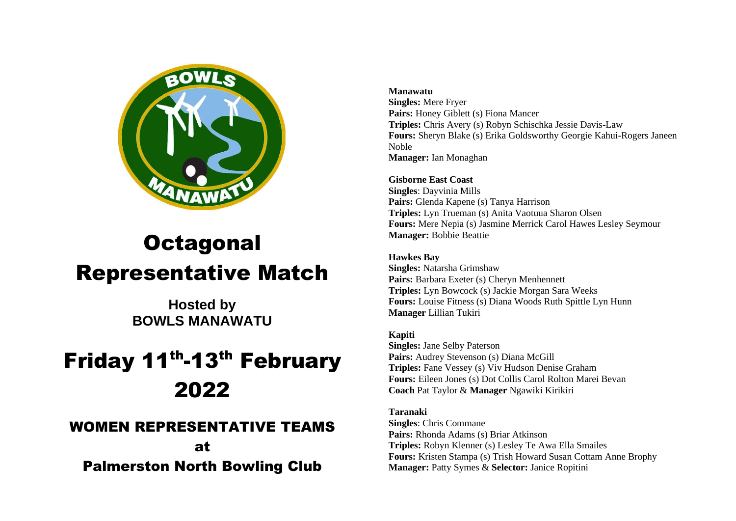

# **Octagonal** Representative Match

**Hosted by BOWLS MANAWATU**

# Friday 11<sup>th</sup>-13<sup>th</sup> February 2022

## WOMEN REPRESENTATIVE TEAMS

at Palmerston North Bowling Club

#### **Manawatu**

**Singles:** Mere Fryer Pairs: Honey Giblett (s) Fiona Mancer **Triples:** Chris Avery (s) Robyn Schischka Jessie Davis-Law **Fours:** Sheryn Blake (s) Erika Goldsworthy Georgie Kahui-Rogers Janeen Noble **Manager:** Ian Monaghan

### **Gisborne East Coast**

**Singles**: Dayvinia Mills Pairs: Glenda Kapene (s) Tanya Harrison **Triples:** Lyn Trueman (s) Anita Vaotuua Sharon Olsen **Fours:** Mere Nepia (s) Jasmine Merrick Carol Hawes Lesley Seymour **Manager:** Bobbie Beattie

#### **Hawkes Bay**

**Singles:** Natarsha Grimshaw **Pairs:** Barbara Exeter (s) Cheryn Menhennett **Triples:** Lyn Bowcock (s) Jackie Morgan Sara Weeks **Fours:** Louise Fitness (s) Diana Woods Ruth Spittle Lyn Hunn **Manager** Lillian Tukiri

#### **Kapiti**

**Singles:** Jane Selby Paterson Pairs: Audrey Stevenson (s) Diana McGill **Triples:** Fane Vessey (s) Viv Hudson Denise Graham **Fours:** Eileen Jones (s) Dot Collis Carol Rolton Marei Bevan **Coach** Pat Taylor & **Manager** Ngawiki Kirikiri

#### **Taranaki**

**Singles**: Chris Commane **Pairs:** Rhonda Adams (s) Briar Atkinson **Triples:** Robyn Klenner (s) Lesley Te Awa Ella Smailes **Fours:** Kristen Stampa (s) Trish Howard Susan Cottam Anne Brophy **Manager:** Patty Symes & **Selector:** Janice Ropitini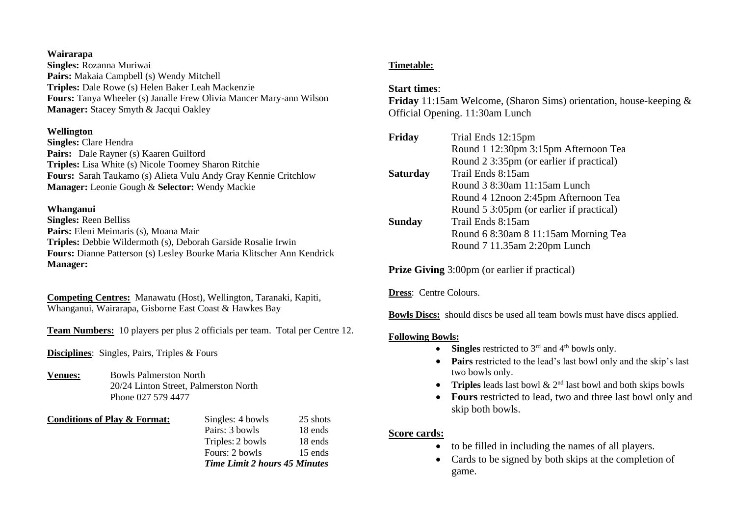#### **Wairarapa**

**Singles:** Rozanna Muriwai **Pairs:** Makaia Campbell (s) Wendy Mitchell **Triples:** Dale Rowe (s) Helen Baker Leah Mackenzie **Fours:** Tanya Wheeler (s) Janalle Frew Olivia Mancer Mary-ann Wilson **Manager:** Stacey Smyth & Jacqui Oakley

#### **Wellington**

**Singles:** Clare Hendra **Pairs:** Dale Rayner (s) Kaaren Guilford **Triples:** Lisa White (s) Nicole Toomey Sharon Ritchie **Fours:** Sarah Taukamo (s) Alieta Vulu Andy Gray Kennie Critchlow **Manager:** Leonie Gough & **Selector:** Wendy Mackie

#### **Whanganui**

**Singles:** Reen Belliss **Pairs:** Eleni Meimaris (s), Moana Mair **Triples:** Debbie Wildermoth (s), Deborah Garside Rosalie Irwin **Fours:** Dianne Patterson (s) Lesley Bourke Maria Klitscher Ann Kendrick **Manager:**

**Competing Centres:** Manawatu (Host), Wellington, Taranaki, Kapiti, Whanganui, Wairarapa, Gisborne East Coast & Hawkes Bay

**Team Numbers:** 10 players per plus 2 officials per team. Total per Centre 12.

**Disciplines**: Singles, Pairs, Triples & Fours

**Venues:** Bowls Palmerston North 20/24 Linton Street, Palmerston North Phone 027 579 4477

**Conditions of Play & Format:** Singles: 4 bowls 25 shots Pairs: 3 bowls 18 ends Triples: 2 bowls 18 ends Fours: 2 bowls 15 ends *Time Limit 2 hours 45 Minutes*

#### **Timetable:**

#### **Start times**:

**Friday** 11:15am Welcome, (Sharon Sims) orientation, house-keeping & Official Opening. 11:30am Lunch

| Friday          | Trial Ends 12:15pm                       |
|-----------------|------------------------------------------|
|                 | Round 1 12:30pm 3:15pm Afternoon Tea     |
|                 | Round 2 3:35pm (or earlier if practical) |
| <b>Saturday</b> | Trail Ends 8:15am                        |
|                 | Round 3 8:30am 11:15am Lunch             |
|                 | Round 4 12 noon 2:45pm Afternoon Tea     |
|                 | Round 5 3:05pm (or earlier if practical) |
| <b>Sunday</b>   | Trail Ends 8:15am                        |
|                 | Round 6 8:30am 8 11:15am Morning Tea     |
|                 | Round 7 11.35am 2:20pm Lunch             |
|                 |                                          |

**Prize Giving** 3:00pm (or earlier if practical)

**Dress**: Centre Colours.

**Bowls Discs:** should discs be used all team bowls must have discs applied.

#### **Following Bowls:**

- **Singles** restricted to  $3<sup>rd</sup>$  and  $4<sup>th</sup>$  bowls only.
- **Pairs** restricted to the lead's last bowl only and the skip's last two bowls only.
- **Triples** leads last bowl & 2<sup>nd</sup> last bowl and both skips bowls
- **Fours** restricted to lead, two and three last bowl only and skip both bowls.

#### **Score cards:**

- to be filled in including the names of all players.
- Cards to be signed by both skips at the completion of game.